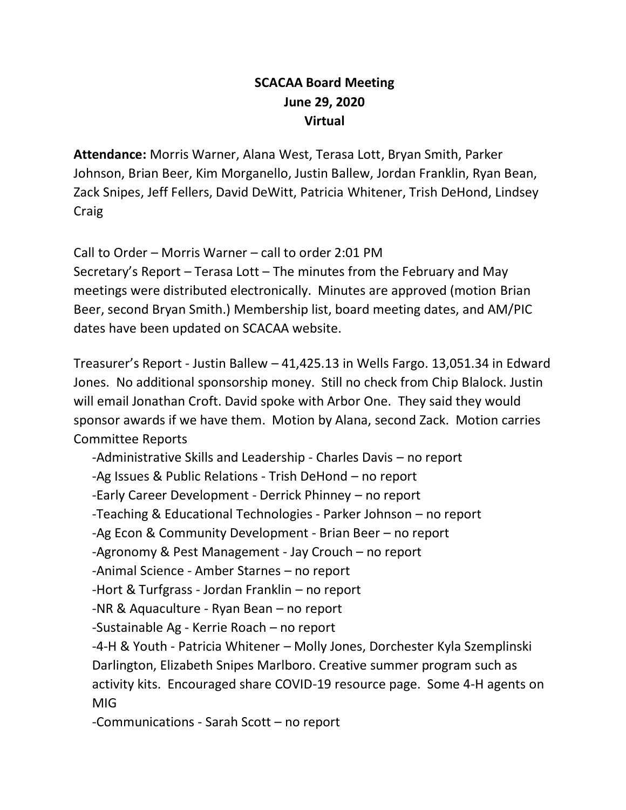## **SCACAA Board Meeting June 29, 2020 Virtual**

**Attendance:** Morris Warner, Alana West, Terasa Lott, Bryan Smith, Parker Johnson, Brian Beer, Kim Morganello, Justin Ballew, Jordan Franklin, Ryan Bean, Zack Snipes, Jeff Fellers, David DeWitt, Patricia Whitener, Trish DeHond, Lindsey Craig

Call to Order – Morris Warner – call to order 2:01 PM Secretary's Report – Terasa Lott – The minutes from the February and May meetings were distributed electronically. Minutes are approved (motion Brian Beer, second Bryan Smith.) Membership list, board meeting dates, and AM/PIC dates have been updated on SCACAA website.

Treasurer's Report ‐ Justin Ballew – 41,425.13 in Wells Fargo. 13,051.34 in Edward Jones. No additional sponsorship money. Still no check from Chip Blalock. Justin will email Jonathan Croft. David spoke with Arbor One. They said they would sponsor awards if we have them. Motion by Alana, second Zack. Motion carries Committee Reports

‐Administrative Skills and Leadership ‐ Charles Davis – no report ‐Ag Issues & Public Relations ‐ Trish DeHond – no report ‐Early Career Development ‐ Derrick Phinney – no report ‐Teaching & Educational Technologies ‐ Parker Johnson – no report ‐Ag Econ & Community Development ‐ Brian Beer – no report ‐Agronomy & Pest Management ‐ Jay Crouch – no report ‐Animal Science ‐ Amber Starnes – no report ‐Hort & Turfgrass ‐ Jordan Franklin – no report ‐NR & Aquaculture ‐ Ryan Bean – no report ‐Sustainable Ag ‐ Kerrie Roach – no report ‐4‐H & Youth ‐ Patricia Whitener – Molly Jones, Dorchester Kyla Szemplinski Darlington, Elizabeth Snipes Marlboro. Creative summer program such as activity kits. Encouraged share COVID-19 resource page. Some 4-H agents on MIG ‐Communications ‐ Sarah Scott – no report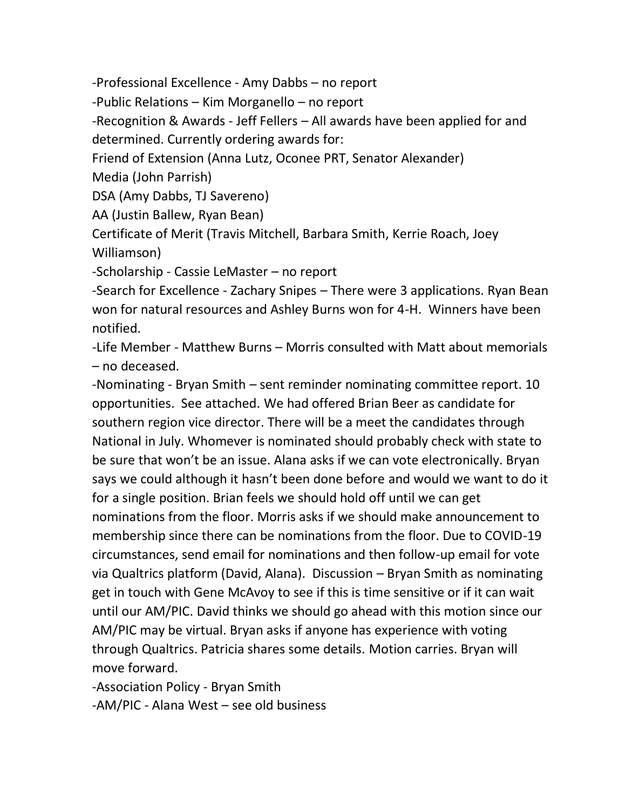‐Professional Excellence ‐ Amy Dabbs – no report

‐Public Relations – Kim Morganello – no report

‐Recognition & Awards ‐ Jeff Fellers – All awards have been applied for and determined. Currently ordering awards for:

Friend of Extension (Anna Lutz, Oconee PRT, Senator Alexander)

Media (John Parrish)

DSA (Amy Dabbs, TJ Savereno)

AA (Justin Ballew, Ryan Bean)

Certificate of Merit (Travis Mitchell, Barbara Smith, Kerrie Roach, Joey Williamson)

‐Scholarship ‐ Cassie LeMaster – no report

‐Search for Excellence ‐ Zachary Snipes – There were 3 applications. Ryan Bean won for natural resources and Ashley Burns won for 4-H. Winners have been notified.

‐Life Member ‐ Matthew Burns – Morris consulted with Matt about memorials – no deceased.

‐Nominating ‐ Bryan Smith – sent reminder nominating committee report. 10 opportunities. See attached. We had offered Brian Beer as candidate for southern region vice director. There will be a meet the candidates through National in July. Whomever is nominated should probably check with state to be sure that won't be an issue. Alana asks if we can vote electronically. Bryan says we could although it hasn't been done before and would we want to do it for a single position. Brian feels we should hold off until we can get nominations from the floor. Morris asks if we should make announcement to membership since there can be nominations from the floor. Due to COVID-19 circumstances, send email for nominations and then follow-up email for vote via Qualtrics platform (David, Alana). Discussion – Bryan Smith as nominating get in touch with Gene McAvoy to see if this is time sensitive or if it can wait until our AM/PIC. David thinks we should go ahead with this motion since our AM/PIC may be virtual. Bryan asks if anyone has experience with voting through Qualtrics. Patricia shares some details. Motion carries. Bryan will move forward.

‐Association Policy ‐ Bryan Smith

‐AM/PIC ‐ Alana West – see old business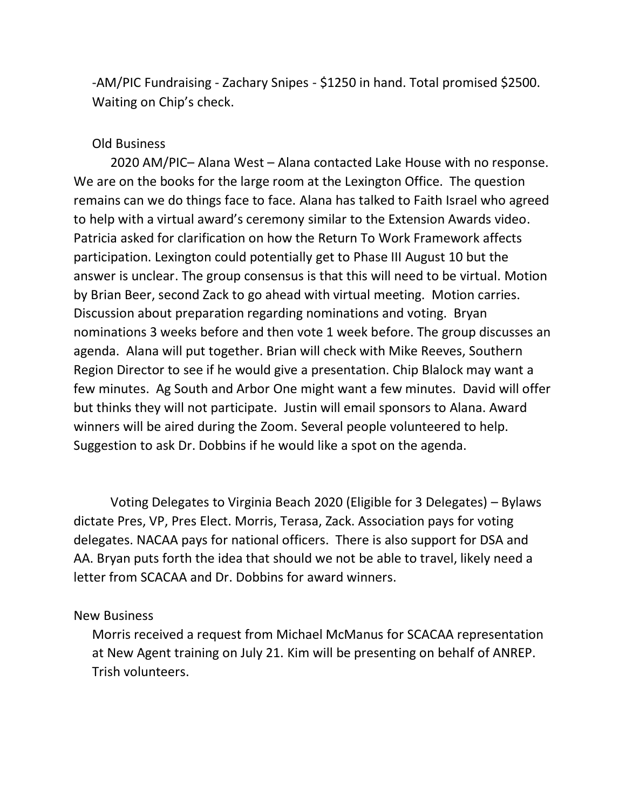‐AM/PIC Fundraising ‐ Zachary Snipes - \$1250 in hand. Total promised \$2500. Waiting on Chip's check.

## Old Business

2020 AM/PIC– Alana West – Alana contacted Lake House with no response. We are on the books for the large room at the Lexington Office. The question remains can we do things face to face. Alana has talked to Faith Israel who agreed to help with a virtual award's ceremony similar to the Extension Awards video. Patricia asked for clarification on how the Return To Work Framework affects participation. Lexington could potentially get to Phase III August 10 but the answer is unclear. The group consensus is that this will need to be virtual. Motion by Brian Beer, second Zack to go ahead with virtual meeting. Motion carries. Discussion about preparation regarding nominations and voting. Bryan nominations 3 weeks before and then vote 1 week before. The group discusses an agenda. Alana will put together. Brian will check with Mike Reeves, Southern Region Director to see if he would give a presentation. Chip Blalock may want a few minutes. Ag South and Arbor One might want a few minutes. David will offer but thinks they will not participate. Justin will email sponsors to Alana. Award winners will be aired during the Zoom. Several people volunteered to help. Suggestion to ask Dr. Dobbins if he would like a spot on the agenda.

Voting Delegates to Virginia Beach 2020 (Eligible for 3 Delegates) – Bylaws dictate Pres, VP, Pres Elect. Morris, Terasa, Zack. Association pays for voting delegates. NACAA pays for national officers. There is also support for DSA and AA. Bryan puts forth the idea that should we not be able to travel, likely need a letter from SCACAA and Dr. Dobbins for award winners.

## New Business

Morris received a request from Michael McManus for SCACAA representation at New Agent training on July 21. Kim will be presenting on behalf of ANREP. Trish volunteers.